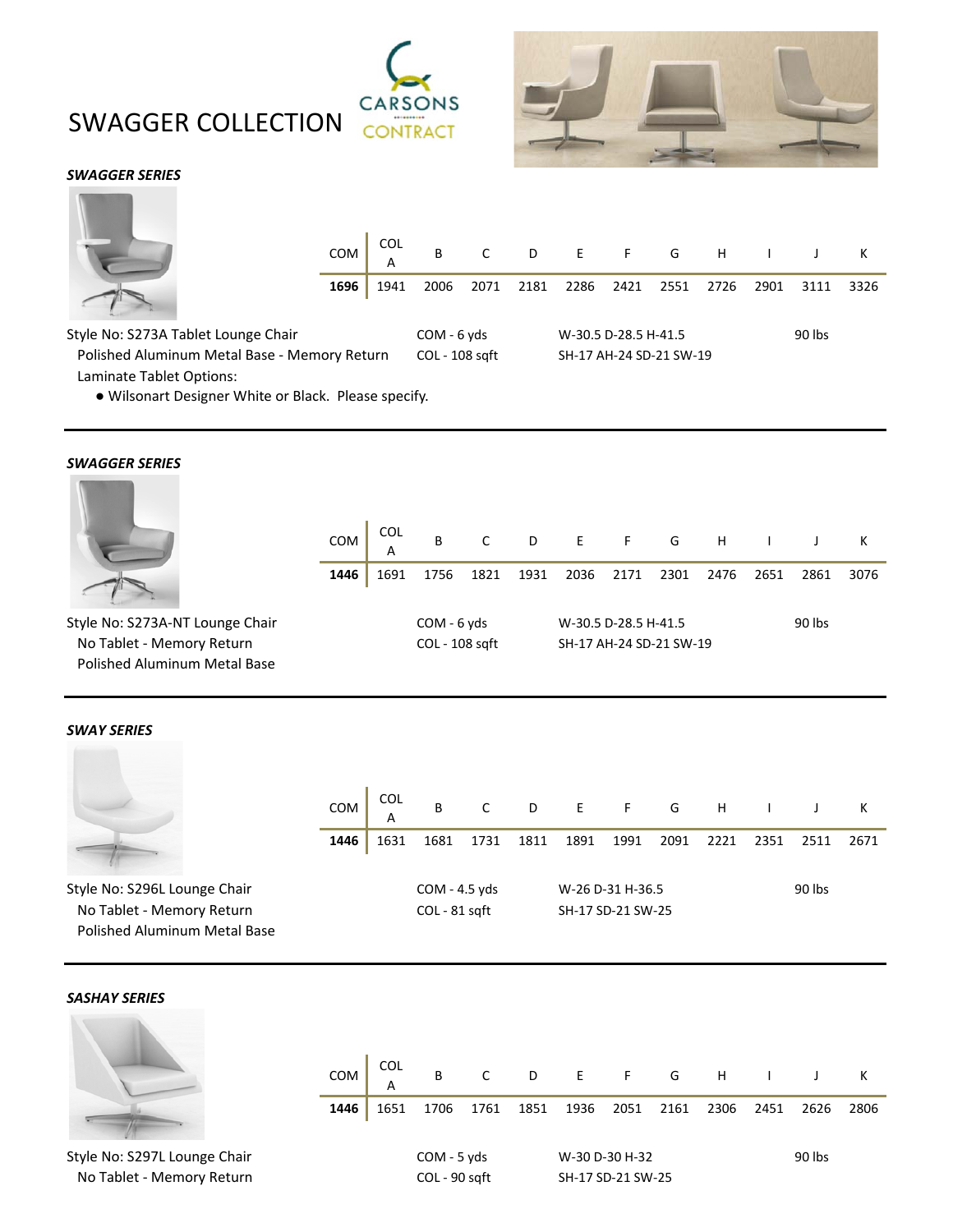



# *SWAGGER SERIES*



|      |                 |      | COM COL B C D E F G H I J K           |  |                      |                                     |      |           |  |
|------|-----------------|------|---------------------------------------|--|----------------------|-------------------------------------|------|-----------|--|
|      | 1696            | 1941 | 2006 2071 2181 2286 2421 2551 2726    |  |                      |                                     | 2901 | 3111 3326 |  |
| ıair | - Memory Return |      | $COM - 6 yds$<br>$\bigcap$ = 108 caft |  | W-30.5 D-28.5 H-41.5 | SH <sub>-17</sub> AH-24 SD-21 SM-19 |      | 90 lbs    |  |

Style No: S273A Tablet Lounge Ch Polished Aluminum Metal Base - Memory Return COL - 108 sqft SH-17 AH-24 SD-21 SW-19 Laminate Tablet Options:

● Wilsonart Designer White or Black. Please specify.

### *SWAGGER SERIES* **CONSUMING**

|                                     | <b>COM</b> | <b>COL</b><br>A | B              | C    | D    | $\mathsf{E}(\mathsf{E}(\mathsf{E}(\mathsf{E}(\mathsf{E}(\mathsf{E}(\mathsf{E}(\mathsf{E}(\mathsf{E}(\mathsf{E}(\mathsf{E}(\mathsf{E}(\mathsf{E}(\mathsf{E}(\mathsf{E}(\mathsf{E}(\mathsf{E}(\mathsf{E}(\mathsf{E}(\mathsf{E}(\mathsf{E}(\mathsf{E}(\mathsf{E}(\mathsf{E}(\mathsf{E}(\mathsf{E}(\mathsf{E}(\mathsf{E}(\mathsf{E}(\mathsf{E}(\mathsf{E}(\mathsf{E}(\mathsf{E}(\mathsf{E}(\mathsf{E}(\mathsf{E}(\mathsf{$ | F                       | G    | H    |      |        | К    |
|-------------------------------------|------------|-----------------|----------------|------|------|------------------------------------------------------------------------------------------------------------------------------------------------------------------------------------------------------------------------------------------------------------------------------------------------------------------------------------------------------------------------------------------------------------------------|-------------------------|------|------|------|--------|------|
|                                     | 1446       | 1691            | 1756           | 1821 | 1931 | 2036                                                                                                                                                                                                                                                                                                                                                                                                                   | 2171                    | 2301 | 2476 | 2651 | 2861   | 3076 |
| Style No: S273A-NT Lounge Chair     |            |                 | $COM - 6 yds$  |      |      |                                                                                                                                                                                                                                                                                                                                                                                                                        | W-30.5 D-28.5 H-41.5    |      |      |      | 90 lbs |      |
| No Tablet - Memory Return           |            |                 | COL - 108 sqft |      |      |                                                                                                                                                                                                                                                                                                                                                                                                                        | SH-17 AH-24 SD-21 SW-19 |      |      |      |        |      |
| <b>Polished Aluminum Metal Base</b> |            |                 |                |      |      |                                                                                                                                                                                                                                                                                                                                                                                                                        |                         |      |      |      |        |      |

#### *SWAY SERIES*

|                                                                                                  | <b>COM</b> | <b>COL</b><br>A | B                                | C    | D    |      | $E = F$                               | G    | H    |      |        | К    |
|--------------------------------------------------------------------------------------------------|------------|-----------------|----------------------------------|------|------|------|---------------------------------------|------|------|------|--------|------|
|                                                                                                  | 1446       | 1631            | 1681                             | 1731 | 1811 | 1891 | 1991                                  | 2091 | 2221 | 2351 | 2511   | 2671 |
| Style No: S296L Lounge Chair<br>No Tablet - Memory Return<br><b>Polished Aluminum Metal Base</b> |            |                 | $COM - 4.5 yds$<br>COL - 81 sqft |      |      |      | W-26 D-31 H-36.5<br>SH-17 SD-21 SW-25 |      |      |      | 90 lbs |      |

### *SASHAY SERIES*

|                                                           | <b>COM</b> | <b>COL</b><br>A | B                              | C    |      | D E F G           |                |      | H    |      |        | К    |
|-----------------------------------------------------------|------------|-----------------|--------------------------------|------|------|-------------------|----------------|------|------|------|--------|------|
|                                                           | 1446       | 1651            | 1706                           | 1761 | 1851 | 1936              | 2051           | 2161 | 2306 | 2451 | 2626   | 2806 |
| Style No: S297L Lounge Chair<br>No Tablet - Memory Return |            |                 | $COM - 5 yds$<br>COL - 90 sqft |      |      | SH-17 SD-21 SW-25 | W-30 D-30 H-32 |      |      |      | 90 lbs |      |